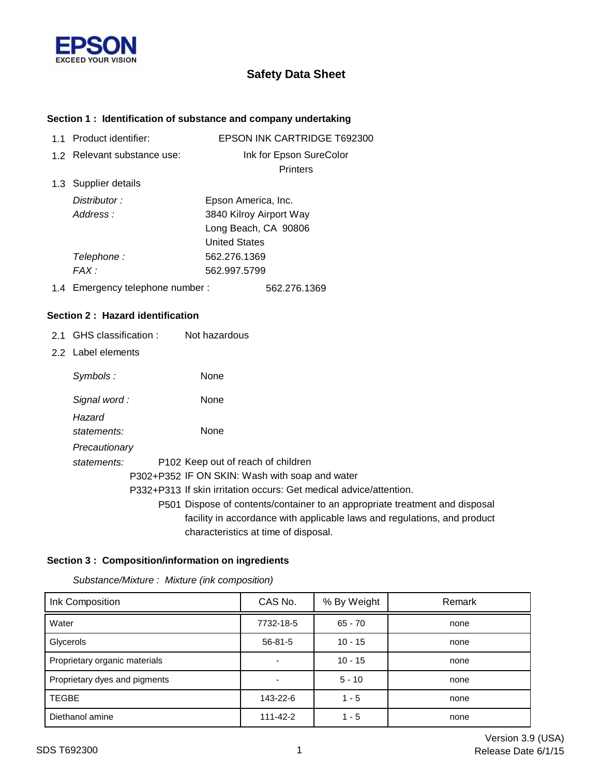

# **Safety Data Sheet**

### **Section 1 : Identification of substance and company undertaking**

| 11 | Product identifier:             | <b>EPSON INK CARTRIDGE T692300</b> |
|----|---------------------------------|------------------------------------|
|    | 1.2 Relevant substance use:     | Ink for Epson SureColor            |
|    |                                 | <b>Printers</b>                    |
|    | 1.3 Supplier details            |                                    |
|    | Distributor:                    | Epson America, Inc.                |
|    | Address:                        | 3840 Kilroy Airport Way            |
|    |                                 | Long Beach, CA 90806               |
|    |                                 | <b>United States</b>               |
|    | Telephone :                     | 562.276.1369                       |
|    | FAX :                           | 562.997.5799                       |
|    | 1.4 Emergency telephone number: | 562.276.1369                       |

#### **Section 2 : Hazard identification**

- 2.1 GHS classification : Not hazardous
- 2.2 Label elements

| Symbols:      | None                                                                        |
|---------------|-----------------------------------------------------------------------------|
| Signal word:  | None                                                                        |
| Hazard        |                                                                             |
| statements:   | None                                                                        |
| Precautionary |                                                                             |
| statements:   | P <sub>102</sub> Keep out of reach of children                              |
|               | P302+P352 IF ON SKIN: Wash with soap and water                              |
|               | P332+P313 If skin irritation occurs: Get medical advice/attention.          |
|               | P501 Dispose of contents/container to an appropriate treatment and disposal |
|               | facility in accordance with applicable laws and regulations, and product    |
|               | characteristics at time of disposal.                                        |

### **Section 3 : Composition/information on ingredients**

*Substance/Mixture : Mixture (ink composition)*

| Ink Composition               | CAS No.        | % By Weight | Remark |
|-------------------------------|----------------|-------------|--------|
| Water                         | 7732-18-5      | $65 - 70$   | none   |
| Glycerols                     | $56 - 81 - 5$  | $10 - 15$   | none   |
| Proprietary organic materials |                | $10 - 15$   | none   |
| Proprietary dyes and pigments |                | $5 - 10$    | none   |
| <b>TEGBE</b>                  | 143-22-6       | $1 - 5$     | none   |
| Diethanol amine               | $111 - 42 - 2$ | $1 - 5$     | none   |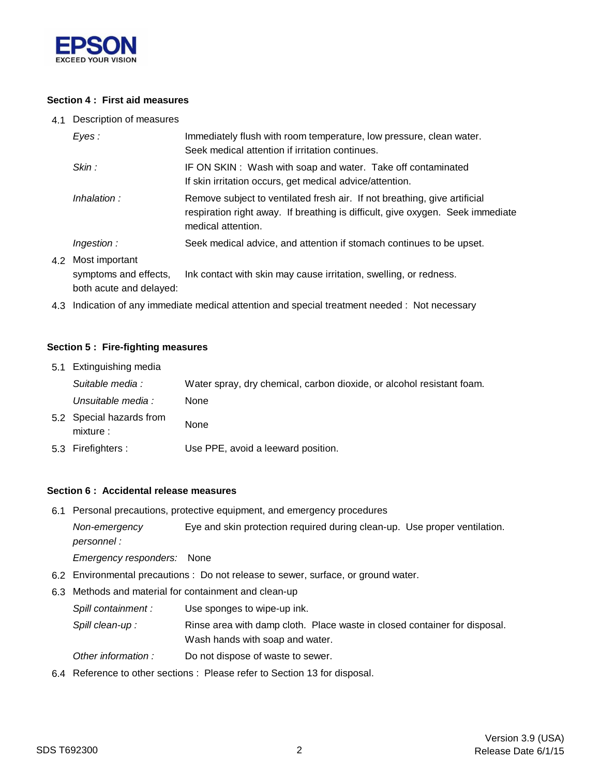

### **Section 4 : First aid measures**

4.1 Description of measures

| Eyes:                                       | Immediately flush with room temperature, low pressure, clean water.<br>Seek medical attention if irritation continues.                                                            |  |
|---------------------------------------------|-----------------------------------------------------------------------------------------------------------------------------------------------------------------------------------|--|
| Skin:                                       | IF ON SKIN: Wash with soap and water. Take off contaminated<br>If skin irritation occurs, get medical advice/attention.                                                           |  |
| Inhalation:                                 | Remove subject to ventilated fresh air. If not breathing, give artificial<br>respiration right away. If breathing is difficult, give oxygen. Seek immediate<br>medical attention. |  |
| Ingestion:                                  | Seek medical advice, and attention if stomach continues to be upset.                                                                                                              |  |
| 4.2 Most important<br>symptoms and effects, | Ink contact with skin may cause irritation, swelling, or redness.                                                                                                                 |  |

both acute and delayed:

4.3 Indication of any immediate medical attention and special treatment needed : Not necessary

#### **Section 5 : Fire-fighting measures**

| 5.1 Extinguishing media               |                                                                       |
|---------------------------------------|-----------------------------------------------------------------------|
| Suitable media :                      | Water spray, dry chemical, carbon dioxide, or alcohol resistant foam. |
| Unsuitable media :                    | None                                                                  |
| 5.2 Special hazards from<br>mixture : | None                                                                  |
| 5.3 Firefighters :                    | Use PPE, avoid a leeward position.                                    |

#### **Section 6 : Accidental release measures**

6.1 Personal precautions, protective equipment, and emergency procedures

*Non-emergency* Eye and skin protection required during clean-up. Use proper ventilation. *personnel :*

*Emergency responders:* None

- 6.2 Environmental precautions : Do not release to sewer, surface, or ground water.
- 6.3 Methods and material for containment and clean-up
	- *Spill containment :* Use sponges to wipe-up ink.
	- Wash hands with soap and water. Spill clean-up : Rinse area with damp cloth. Place waste in closed container for disposal.
	- *Other information :* Do not dispose of waste to sewer.
- 6.4 Reference to other sections : Please refer to Section 13 for disposal.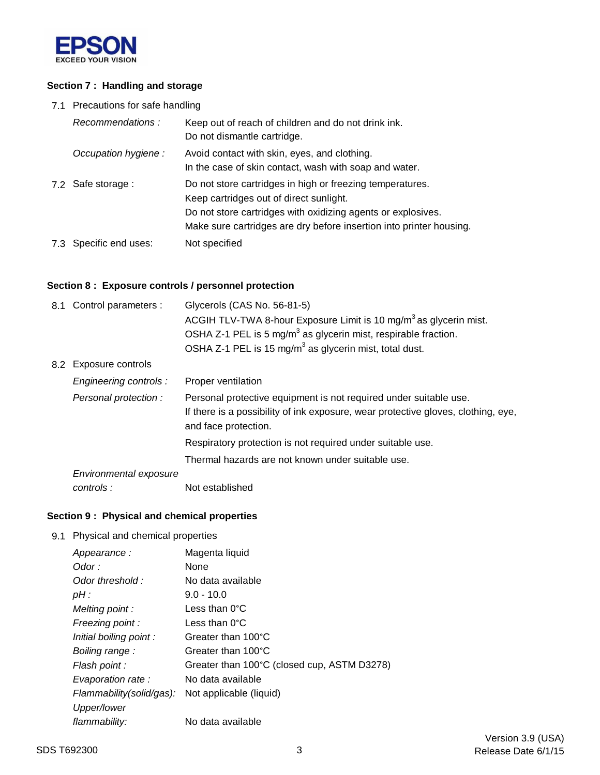

### **Section 7 : Handling and storage**

7.1 Precautions for safe handling

| Recommendations:       | Keep out of reach of children and do not drink ink.<br>Do not dismantle cartridge.                                                                                                                                                          |
|------------------------|---------------------------------------------------------------------------------------------------------------------------------------------------------------------------------------------------------------------------------------------|
| Occupation hygiene:    | Avoid contact with skin, eyes, and clothing.<br>In the case of skin contact, wash with soap and water.                                                                                                                                      |
| 7.2 Safe storage :     | Do not store cartridges in high or freezing temperatures.<br>Keep cartridges out of direct sunlight.<br>Do not store cartridges with oxidizing agents or explosives.<br>Make sure cartridges are dry before insertion into printer housing. |
| 7.3 Specific end uses: | Not specified                                                                                                                                                                                                                               |

### **Section 8 : Exposure controls / personnel protection**

| 8.1 Control parameters : | Glycerols (CAS No. 56-81-5)<br>ACGIH TLV-TWA 8-hour Exposure Limit is 10 mg/m <sup>3</sup> as glycerin mist.                                                                   |  |
|--------------------------|--------------------------------------------------------------------------------------------------------------------------------------------------------------------------------|--|
|                          | OSHA Z-1 PEL is 5 mg/m <sup>3</sup> as glycerin mist, respirable fraction.                                                                                                     |  |
|                          | OSHA Z-1 PEL is 15 mg/m <sup>3</sup> as glycerin mist, total dust.                                                                                                             |  |
| 8.2 Exposure controls    |                                                                                                                                                                                |  |
| Engineering controls :   | Proper ventilation                                                                                                                                                             |  |
| Personal protection:     | Personal protective equipment is not required under suitable use.<br>If there is a possibility of ink exposure, wear protective gloves, clothing, eye,<br>and face protection. |  |
|                          | Respiratory protection is not required under suitable use.                                                                                                                     |  |
|                          | Thermal hazards are not known under suitable use.                                                                                                                              |  |
| Environmental exposure   |                                                                                                                                                                                |  |
| controls:                | Not established                                                                                                                                                                |  |

# **Section 9 : Physical and chemical properties**

9.1 Physical and chemical properties

| Appearance:              | Magenta liquid                              |
|--------------------------|---------------------------------------------|
| Odor :                   | None                                        |
| Odor threshold:          | No data available                           |
| pH :                     | $9.0 - 10.0$                                |
| Melting point:           | Less than $0^{\circ}$ C                     |
| Freezing point:          | Less than $0^{\circ}$ C                     |
| Initial boiling point:   | Greater than 100°C                          |
| Boiling range:           | Greater than 100°C                          |
| Flash point :            | Greater than 100°C (closed cup, ASTM D3278) |
| Evaporation rate:        | No data available                           |
| Flammability(solid/gas): | Not applicable (liquid)                     |
| Upper/lower              |                                             |
| flammability:            | No data available                           |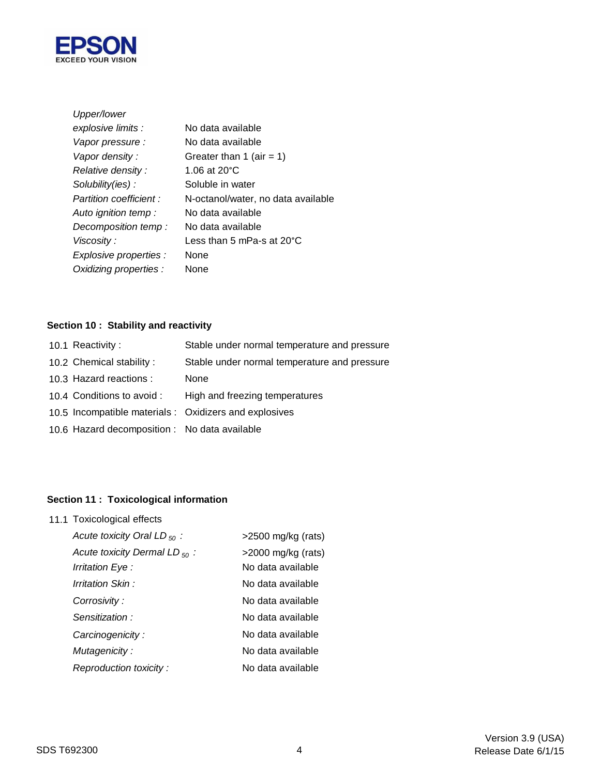

| Upper/lower            |                                     |
|------------------------|-------------------------------------|
| explosive limits :     | No data available                   |
| Vapor pressure :       | No data available                   |
| Vapor density:         | Greater than 1 (air = 1)            |
| Relative density:      | 1.06 at 20 $^{\circ}$ C             |
| Solubility(ies):       | Soluble in water                    |
| Partition coefficient: | N-octanol/water, no data available  |
| Auto ignition temp:    | No data available                   |
| Decomposition temp:    | No data available                   |
| Viscosity:             | Less than 5 mPa-s at $20^{\circ}$ C |
| Explosive properties : | None                                |
| Oxidizing properties : | None                                |

# **Section 10 : Stability and reactivity**

| 10.2 Chemical stability:<br>10.3 Hazard reactions :<br>None<br>High and freezing temperatures<br>10.4 Conditions to avoid :<br>10.5 Incompatible materials : Oxidizers and explosives<br>10.6 Hazard decomposition : No data available | 10.1 Reactivity: | Stable under normal temperature and pressure |
|----------------------------------------------------------------------------------------------------------------------------------------------------------------------------------------------------------------------------------------|------------------|----------------------------------------------|
|                                                                                                                                                                                                                                        |                  | Stable under normal temperature and pressure |
|                                                                                                                                                                                                                                        |                  |                                              |
|                                                                                                                                                                                                                                        |                  |                                              |
|                                                                                                                                                                                                                                        |                  |                                              |
|                                                                                                                                                                                                                                        |                  |                                              |

# **Section 11 : Toxicological information**

11.1 Toxicological effects

| Acute toxicity Oral LD $_{50}$ :   | $>2500$ mg/kg (rats)  |
|------------------------------------|-----------------------|
| Acute toxicity Dermal LD $_{50}$ : | $>$ 2000 mg/kg (rats) |
| Irritation Eye :                   | No data available     |
| Irritation Skin :                  | No data available     |
| Corrosivity:                       | No data available     |
| Sensitization:                     | No data available     |
| Carcinogenicity:                   | No data available     |
| Mutagenicity:                      | No data available     |
| Reproduction toxicity:             | No data available     |
|                                    |                       |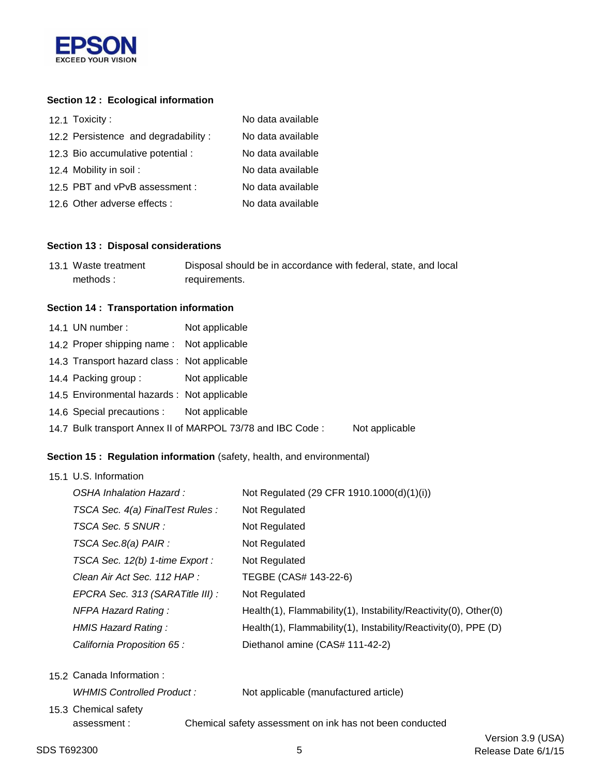

# **Section 12 : Ecological information**

| 12.1 Toxicity:                      | No data available |
|-------------------------------------|-------------------|
| 12.2 Persistence and degradability: | No data available |
| 12.3 Bio accumulative potential :   | No data available |
| 12.4 Mobility in soil:              | No data available |
| 12.5 PBT and vPvB assessment :      | No data available |
| 12.6 Other adverse effects :        | No data available |

#### **Section 13 : Disposal considerations**

| 13.1 Waste treatment | Disposal should be in accordance with federal, state, and local |
|----------------------|-----------------------------------------------------------------|
| methods:             | requirements.                                                   |

## **Section 14 : Transportation information**

| 14.1 UN number:                                                              | Not applicable |  |
|------------------------------------------------------------------------------|----------------|--|
| 14.2 Proper shipping name: Not applicable                                    |                |  |
| 14.3 Transport hazard class: Not applicable                                  |                |  |
| 14.4 Packing group:                                                          | Not applicable |  |
| 14.5 Environmental hazards : Not applicable                                  |                |  |
| 14.6 Special precautions : Not applicable                                    |                |  |
| 14.7 Bulk transport Annex II of MARPOL 73/78 and IBC Code:<br>Not applicable |                |  |

# **Section 15 : Regulation information** (safety, health, and environmental)

| 15.1 U.S. Information            |                                                                 |
|----------------------------------|-----------------------------------------------------------------|
| OSHA Inhalation Hazard :         | Not Regulated (29 CFR 1910.1000(d)(1)(i))                       |
| TSCA Sec. 4(a) FinalTest Rules : | Not Regulated                                                   |
| TSCA Sec. 5 SNUR :               | Not Regulated                                                   |
| TSCA Sec.8(a) PAIR :             | Not Regulated                                                   |
| TSCA Sec. 12(b) 1-time Export :  | Not Regulated                                                   |
| Clean Air Act Sec. 112 HAP :     | TEGBE (CAS# 143-22-6)                                           |
| EPCRA Sec. 313 (SARATitle III) : | Not Regulated                                                   |
| <b>NFPA Hazard Rating:</b>       | Health(1), Flammability(1), Instability/Reactivity(0), Other(0) |
| HMIS Hazard Rating:              | Health(1), Flammability(1), Instability/Reactivity(0), PPE (D)  |
| California Proposition 65:       | Diethanol amine (CAS# 111-42-2)                                 |
|                                  |                                                                 |

|                           | 15.2 Canada Information: |                                                          |                                       |
|---------------------------|--------------------------|----------------------------------------------------------|---------------------------------------|
| WHMIS Controlled Product: |                          |                                                          | Not applicable (manufactured article) |
|                           | 15.3 Chemical safety     |                                                          |                                       |
|                           | assessment :             | Chemical safety assessment on ink has not been conducted |                                       |